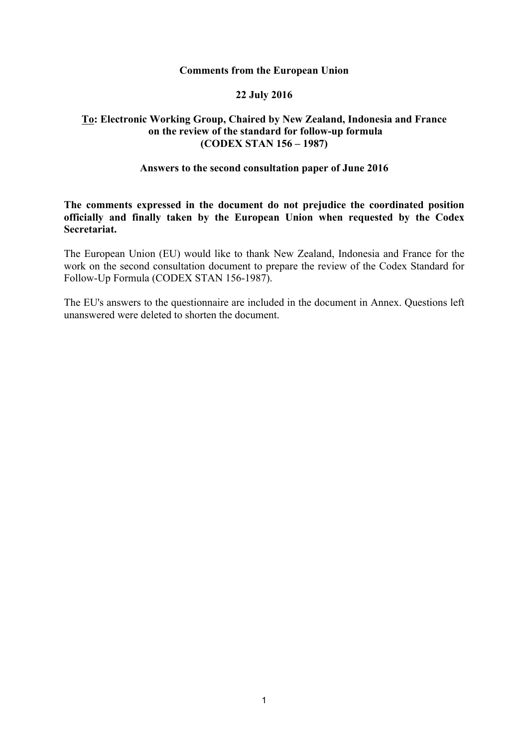### **Comments from the European Union**

### **22 July 2016**

# **To: Electronic Working Group, Chaired by New Zealand, Indonesia and France on the review of the standard for follow-up formula (CODEX STAN 156 – 1987)**

### **Answers to the second consultation paper of June 2016**

# **The comments expressed in the document do not prejudice the coordinated position officially and finally taken by the European Union when requested by the Codex Secretariat.**

The European Union (EU) would like to thank New Zealand, Indonesia and France for the work on the second consultation document to prepare the review of the Codex Standard for Follow-Up Formula (CODEX STAN 156-1987).

The EU's answers to the questionnaire are included in the document in Annex. Questions left unanswered were deleted to shorten the document.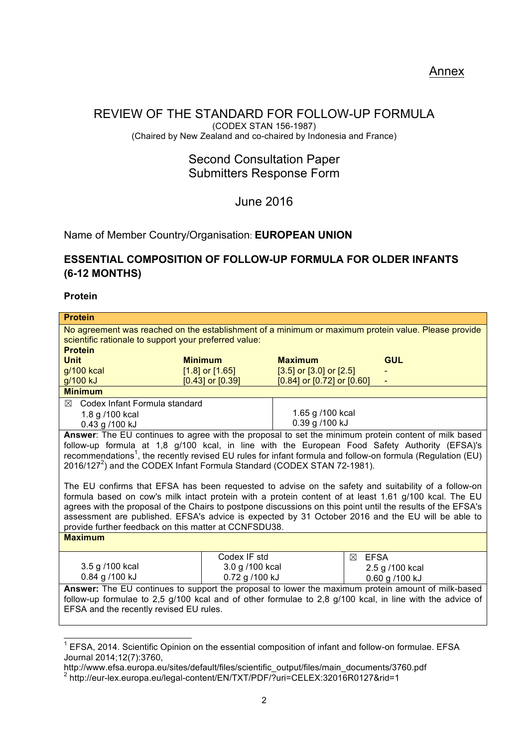Annex

# REVIEW OF THE STANDARD FOR FOLLOW-UP FORMULA (CODEX STAN 156-1987) (Chaired by New Zealand and co-chaired by Indonesia and France)

# Second Consultation Paper Submitters Response Form

# June 2016

# Name of Member Country/Organisation: **EUROPEAN UNION**

# **ESSENTIAL COMPOSITION OF FOLLOW-UP FORMULA FOR OLDER INFANTS (6-12 MONTHS)**

**Protein**

| <b>Protein</b>                                                                                                                                                                                                                                                                                                                                                                                                                                                                                                                                                                                                                                                                                                                                                                                                                                                                                             |                                   |                                  |                  |                 |
|------------------------------------------------------------------------------------------------------------------------------------------------------------------------------------------------------------------------------------------------------------------------------------------------------------------------------------------------------------------------------------------------------------------------------------------------------------------------------------------------------------------------------------------------------------------------------------------------------------------------------------------------------------------------------------------------------------------------------------------------------------------------------------------------------------------------------------------------------------------------------------------------------------|-----------------------------------|----------------------------------|------------------|-----------------|
| No agreement was reached on the establishment of a minimum or maximum protein value. Please provide                                                                                                                                                                                                                                                                                                                                                                                                                                                                                                                                                                                                                                                                                                                                                                                                        |                                   |                                  |                  |                 |
| scientific rationale to support your preferred value:                                                                                                                                                                                                                                                                                                                                                                                                                                                                                                                                                                                                                                                                                                                                                                                                                                                      |                                   |                                  |                  |                 |
| <b>Protein</b><br><b>Unit</b>                                                                                                                                                                                                                                                                                                                                                                                                                                                                                                                                                                                                                                                                                                                                                                                                                                                                              |                                   | <b>Maximum</b>                   |                  | <b>GUL</b>      |
| g/100 kcal                                                                                                                                                                                                                                                                                                                                                                                                                                                                                                                                                                                                                                                                                                                                                                                                                                                                                                 | <b>Minimum</b><br>[1.8] or [1.65] | $[3.5]$ or $[3.0]$ or $[2.5]$    |                  |                 |
| g/100 kJ                                                                                                                                                                                                                                                                                                                                                                                                                                                                                                                                                                                                                                                                                                                                                                                                                                                                                                   | $[0.43]$ or $[0.39]$              | $[0.84]$ or $[0.72]$ or $[0.60]$ |                  |                 |
| <b>Minimum</b>                                                                                                                                                                                                                                                                                                                                                                                                                                                                                                                                                                                                                                                                                                                                                                                                                                                                                             |                                   |                                  |                  |                 |
| $\boxtimes$ Codex Infant Formula standard                                                                                                                                                                                                                                                                                                                                                                                                                                                                                                                                                                                                                                                                                                                                                                                                                                                                  |                                   |                                  |                  |                 |
| 1.8 g /100 kcal                                                                                                                                                                                                                                                                                                                                                                                                                                                                                                                                                                                                                                                                                                                                                                                                                                                                                            |                                   | 1.65 g /100 kcal                 |                  |                 |
| 0.43 g /100 kJ                                                                                                                                                                                                                                                                                                                                                                                                                                                                                                                                                                                                                                                                                                                                                                                                                                                                                             |                                   | 0.39 g /100 kJ                   |                  |                 |
| Answer: The EU continues to agree with the proposal to set the minimum protein content of milk based<br>follow-up formula at 1,8 g/100 kcal, in line with the European Food Safety Authority (EFSA)'s<br>recommendations <sup>1</sup> , the recently revised EU rules for infant formula and follow-on formula (Regulation (EU)<br>$2016/1272$ ) and the CODEX Infant Formula Standard (CODEX STAN 72-1981).<br>The EU confirms that EFSA has been requested to advise on the safety and suitability of a follow-on<br>formula based on cow's milk intact protein with a protein content of at least 1.61 g/100 kcal. The EU<br>agrees with the proposal of the Chairs to postpone discussions on this point until the results of the EFSA's<br>assessment are published. EFSA's advice is expected by 31 October 2016 and the EU will be able to<br>provide further feedback on this matter at CCNFSDU38. |                                   |                                  |                  |                 |
| <b>Maximum</b>                                                                                                                                                                                                                                                                                                                                                                                                                                                                                                                                                                                                                                                                                                                                                                                                                                                                                             |                                   |                                  |                  |                 |
|                                                                                                                                                                                                                                                                                                                                                                                                                                                                                                                                                                                                                                                                                                                                                                                                                                                                                                            | Codex IF std                      |                                  | <b>EFSA</b><br>⊠ |                 |
| 3.5 g /100 kcal                                                                                                                                                                                                                                                                                                                                                                                                                                                                                                                                                                                                                                                                                                                                                                                                                                                                                            | 3.0 g /100 kcal                   |                                  |                  | 2.5 g /100 kcal |
| 0.84 g /100 kJ                                                                                                                                                                                                                                                                                                                                                                                                                                                                                                                                                                                                                                                                                                                                                                                                                                                                                             | 0.72 g /100 kJ                    |                                  |                  | 0.60 g /100 kJ  |
| Answer: The EU continues to support the proposal to lower the maximum protein amount of milk-based<br>follow-up formulae to 2,5 g/100 kcal and of other formulae to 2,8 g/100 kcal, in line with the advice of<br>EFSA and the recently revised EU rules.                                                                                                                                                                                                                                                                                                                                                                                                                                                                                                                                                                                                                                                  |                                   |                                  |                  |                 |

 $1$  EFSA, 2014. Scientific Opinion on the essential composition of infant and follow-on formulae. EFSA Journal 2014;12(7):3760,

http://www.efsa.europa.eu/sites/default/files/scientific\_output/files/main\_documents/3760.pdf

<sup>&</sup>lt;sup>2</sup> http://eur-lex.europa.eu/legal-content/EN/TXT/PDF/?uri=CELEX:32016R0127&rid=1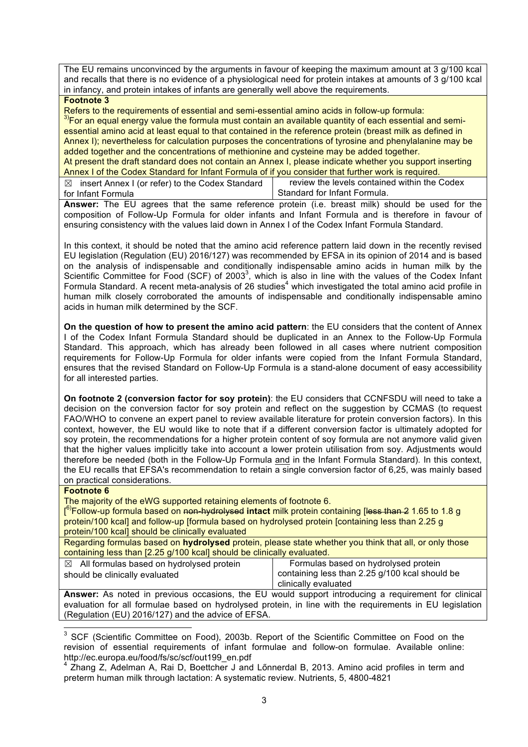The EU remains unconvinced by the arguments in favour of keeping the maximum amount at 3 g/100 kcal and recalls that there is no evidence of a physiological need for protein intakes at amounts of 3 g/100 kcal in infancy, and protein intakes of infants are generally well above the requirements.

#### **Footnote 3**

Refers to the requirements of essential and semi-essential amino acids in follow-up formula:<br><sup>3)</sup>For an equal energy value the formula must contain an available quantity of each essential and semiessential amino acid at least equal to that contained in the reference protein (breast milk as defined in Annex I); nevertheless for calculation purposes the concentrations of tyrosine and phenylalanine may be added together and the concentrations of methionine and cysteine may be added together. At present the draft standard does not contain an Annex I, please indicate whether you support inserting

Annex I of the Codex Standard for Infant Formula of if you consider that further work is required.

 $\boxtimes$  insert Annex I (or refer) to the Codex Standard for Infant Formula review the levels contained within the Codex Standard for Infant Formula.

**Answer:** The EU agrees that the same reference protein (i.e. breast milk) should be used for the composition of Follow-Up Formula for older infants and Infant Formula and is therefore in favour of ensuring consistency with the values laid down in Annex I of the Codex Infant Formula Standard.

In this context, it should be noted that the amino acid reference pattern laid down in the recently revised EU legislation (Regulation (EU) 2016/127) was recommended by EFSA in its opinion of 2014 and is based on the analysis of indispensable and conditionally indispensable amino acids in human milk by the Scientific Committee for Food (SCF) of 2003<sup>3</sup>, which is also in line with the values of the Codex Infant Formula Standard. A recent meta-analysis of 26 studies<sup>4</sup> which investigated the total amino acid profile in human milk closely corroborated the amounts of indispensable and conditionally indispensable amino acids in human milk determined by the SCF.

**On the question of how to present the amino acid pattern**: the EU considers that the content of Annex I of the Codex Infant Formula Standard should be duplicated in an Annex to the Follow-Up Formula Standard. This approach, which has already been followed in all cases where nutrient composition requirements for Follow-Up Formula for older infants were copied from the Infant Formula Standard, ensures that the revised Standard on Follow-Up Formula is a stand-alone document of easy accessibility for all interested parties.

**On footnote 2 (conversion factor for soy protein)**: the EU considers that CCNFSDU will need to take a decision on the conversion factor for soy protein and reflect on the suggestion by CCMAS (to request FAO/WHO to convene an expert panel to review available literature for protein conversion factors). In this context, however, the EU would like to note that if a different conversion factor is ultimately adopted for soy protein, the recommendations for a higher protein content of soy formula are not anymore valid given that the higher values implicitly take into account a lower protein utilisation from soy. Adjustments would therefore be needed (both in the Follow-Up Formula and in the Infant Formula Standard). In this context, the EU recalls that EFSA's recommendation to retain a single conversion factor of 6,25, was mainly based on practical considerations.

#### **Footnote 6**

The majority of the eWG supported retaining elements of footnote 6.

[ 6)Follow-up formula based on non-hydrolysed **intact** milk protein containing [less than 2 1.65 to 1.8 g protein/100 kcal] and follow-up [formula based on hydrolysed protein [containing less than 2.25 g protein/100 kcal] should be clinically evaluated

Regarding formulas based on **hydrolysed** protein, please state whether you think that all, or only those containing less than [2.25 g/100 kcal] should be clinically evaluated.

| $\boxtimes$ All formulas based on hydrolysed protein | Formulas based on hydrolysed protein           |
|------------------------------------------------------|------------------------------------------------|
| should be clinically evaluated                       | containing less than 2.25 g/100 kcal should be |
|                                                      | clinically evaluated                           |

**Answer:** As noted in previous occasions, the EU would support introducing a requirement for clinical evaluation for all formulae based on hydrolysed protein, in line with the requirements in EU legislation (Regulation (EU) 2016/127) and the advice of EFSA.

<sup>&</sup>lt;sup>3</sup> SCF (Scientific Committee on Food), 2003b. Report of the Scientific Committee on Food on the revision of essential requirements of infant formulae and follow-on formulae. Available online: http://ec.europa.eu/food/fs/sc/scf/out199\_en.pdf<br><sup>4</sup> Zhang Z, Adelman A, Rai D, Boettcher J and Lőnnerdal B, 2013. Amino acid profiles in term and

preterm human milk through lactation: A systematic review. Nutrients, 5, 4800-4821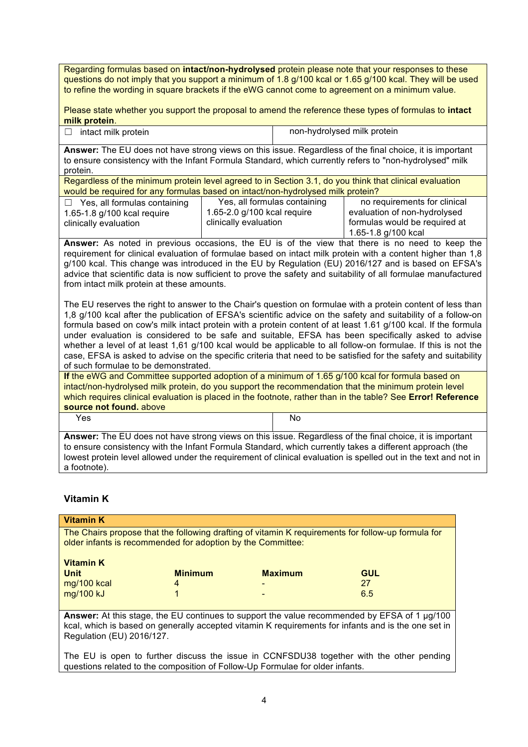Regarding formulas based on **intact/non-hydrolysed** protein please note that your responses to these questions do not imply that you support a minimum of 1.8 g/100 kcal or 1.65 g/100 kcal. They will be used to refine the wording in square brackets if the eWG cannot come to agreement on a minimum value.

Please state whether you support the proposal to amend the reference these types of formulas to **intact milk protein**.

| $\Box$ intact milk protein | non-hydrolysed milk protein |
|----------------------------|-----------------------------|
|----------------------------|-----------------------------|

**Answer:** The EU does not have strong views on this issue. Regardless of the final choice, it is important to ensure consistency with the Infant Formula Standard, which currently refers to "non-hydrolysed" milk protein.

Regardless of the minimum protein level agreed to in Section 3.1, do you think that clinical evaluation would be required for any formulas based on intact/non-hydrolysed milk protein?

| Yes, all formulas containing  | Yes, all formulas containing  | no requirements for clinical  |
|-------------------------------|-------------------------------|-------------------------------|
| 1.65-1.8 $g/100$ kcal require | 1.65-2.0 $g/100$ kcal require | evaluation of non-hydrolysed  |
| clinically evaluation         | clinically evaluation         | formulas would be required at |
|                               |                               | 1.65-1.8 g/100 kcal           |

**Answer:** As noted in previous occasions, the EU is of the view that there is no need to keep the requirement for clinical evaluation of formulae based on intact milk protein with a content higher than 1,8 g/100 kcal. This change was introduced in the EU by Regulation (EU) 2016/127 and is based on EFSA's advice that scientific data is now sufficient to prove the safety and suitability of all formulae manufactured from intact milk protein at these amounts.

The EU reserves the right to answer to the Chair's question on formulae with a protein content of less than 1,8 g/100 kcal after the publication of EFSA's scientific advice on the safety and suitability of a follow-on formula based on cow's milk intact protein with a protein content of at least 1.61 g/100 kcal. If the formula under evaluation is considered to be safe and suitable, EFSA has been specifically asked to advise whether a level of at least 1,61 g/100 kcal would be applicable to all follow-on formulae. If this is not the case, EFSA is asked to advise on the specific criteria that need to be satisfied for the safety and suitability of such formulae to be demonstrated.

**If** the eWG and Committee supported adoption of a minimum of 1.65 g/100 kcal for formula based on intact/non-hydrolysed milk protein, do you support the recommendation that the minimum protein level which requires clinical evaluation is placed in the footnote, rather than in the table? See **Error! Reference source not found.** above

| Yes | No. |
|-----|-----|
|-----|-----|

**Answer:** The EU does not have strong views on this issue. Regardless of the final choice, it is important to ensure consistency with the Infant Formula Standard, which currently takes a different approach (the lowest protein level allowed under the requirement of clinical evaluation is spelled out in the text and not in a footnote).

# **Vitamin K**

| <b>Vitamin K</b>                                                                                                                                                  |                |                          |            |
|-------------------------------------------------------------------------------------------------------------------------------------------------------------------|----------------|--------------------------|------------|
| The Chairs propose that the following drafting of vitamin K requirements for follow-up formula for<br>older infants is recommended for adoption by the Committee: |                |                          |            |
| <b>Vitamin K</b><br><b>Unit</b>                                                                                                                                   | <b>Minimum</b> | <b>Maximum</b>           | <b>GUL</b> |
| mg/100 kcal                                                                                                                                                       | 4              | $\overline{\phantom{0}}$ | 27         |
| mg/100 kJ                                                                                                                                                         |                | $\overline{\phantom{0}}$ | 6.5        |

**Answer:** At this stage, the EU continues to support the value recommended by EFSA of 1 µg/100 kcal, which is based on generally accepted vitamin K requirements for infants and is the one set in Regulation (EU) 2016/127.

The EU is open to further discuss the issue in CCNFSDU38 together with the other pending questions related to the composition of Follow-Up Formulae for older infants.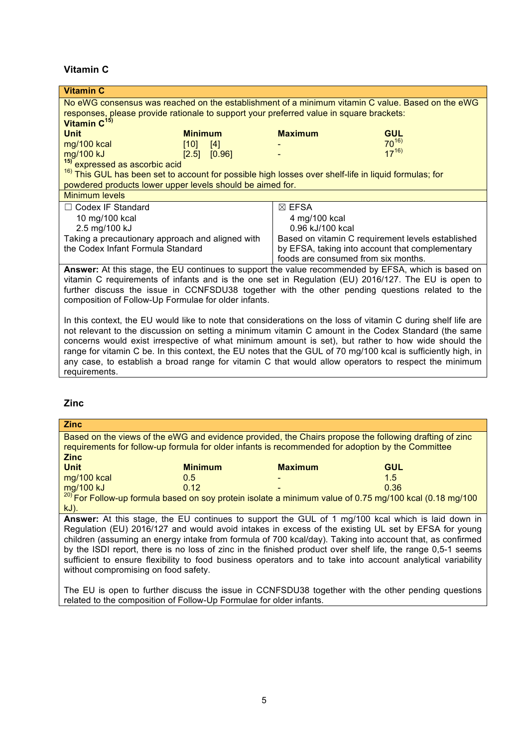**Vitamin C**

| <b>Vitamin C</b>                                                                                                 |                  |        |                |            |  |
|------------------------------------------------------------------------------------------------------------------|------------------|--------|----------------|------------|--|
| No eWG consensus was reached on the establishment of a minimum vitamin C value. Based on the eWG                 |                  |        |                |            |  |
| responses, please provide rationale to support your preferred value in square brackets:                          |                  |        |                |            |  |
| Vitamin C <sup>15)</sup>                                                                                         |                  |        |                |            |  |
| <b>Unit</b>                                                                                                      | <b>Minimum</b>   |        | <b>Maximum</b> | <b>GUL</b> |  |
| mg/100 kcal                                                                                                      | $[10]$           | [4]    |                | $70^{16}$  |  |
| mg/100 kJ                                                                                                        | $[2.5]$          | [0.96] |                | $17^{16}$  |  |
| <sup>15)</sup> expressed as ascorbic acid                                                                        |                  |        |                |            |  |
| <sup>16)</sup> This GUL has been set to account for possible high losses over shelf-life in liquid formulas; for |                  |        |                |            |  |
| powdered products lower upper levels should be aimed for.                                                        |                  |        |                |            |  |
| <b>Minimum levels</b>                                                                                            |                  |        |                |            |  |
| $\Box$ Codex IF Standard                                                                                         | $\boxtimes$ EFSA |        |                |            |  |
| 10 mg/100 kcal                                                                                                   |                  |        | 4 mg/100 kcal  |            |  |
| 2.5 mg/100 kJ<br>0.96 kJ/100 kcal                                                                                |                  |        |                |            |  |
| Taking a precautionary approach and aligned with<br>Based on vitamin C requirement levels established            |                  |        |                |            |  |
| the Codex Infant Formula Standard<br>by EFSA, taking into account that complementary                             |                  |        |                |            |  |
| foods are consumed from six months.                                                                              |                  |        |                |            |  |
| Answer: At this stage, the EU continues to support the value recommended by EFSA, which is based on              |                  |        |                |            |  |
| vitamin C requirements of infants and is the one set in Regulation (EU) 2016/127. The EU is open to              |                  |        |                |            |  |

further discuss the issue in CCNFSDU38 together with the other pending questions related to the composition of Follow-Up Formulae for older infants. In this context, the EU would like to note that considerations on the loss of vitamin C during shelf life are not relevant to the discussion on setting a minimum vitamin C amount in the Codex Standard (the same

concerns would exist irrespective of what minimum amount is set), but rather to how wide should the range for vitamin C be. In this context, the EU notes that the GUL of 70 mg/100 kcal is sufficiently high, in any case, to establish a broad range for vitamin C that would allow operators to respect the minimum requirements.

## **Zinc**

**Zinc**

Based on the views of the eWG and evidence provided, the Chairs propose the following drafting of zinc requirements for follow-up formula for older infants is recommended for adoption by the Committee **Zinc**

| <b>Unit</b>                                                                                                         | <b>Minimum</b> | <b>Maximum</b>           | <b>GUL</b> |
|---------------------------------------------------------------------------------------------------------------------|----------------|--------------------------|------------|
| $mg/100$ kcal                                                                                                       | 0.5            | $\overline{\phantom{0}}$ | 1.5        |
| $mg/100$ kJ                                                                                                         | 0.12           | $\sim$                   | 0.36       |
| $\frac{20}{20}$ For Follow-up formula based on soy protein isolate a minimum value of 0.75 mg/100 kcal (0.18 mg/100 |                |                          |            |
| kJ                                                                                                                  |                |                          |            |

**Answer:** At this stage, the EU continues to support the GUL of 1 mg/100 kcal which is laid down in Regulation (EU) 2016/127 and would avoid intakes in excess of the existing UL set by EFSA for young children (assuming an energy intake from formula of 700 kcal/day). Taking into account that, as confirmed by the ISDI report, there is no loss of zinc in the finished product over shelf life, the range 0,5-1 seems sufficient to ensure flexibility to food business operators and to take into account analytical variability without compromising on food safety.

The EU is open to further discuss the issue in CCNFSDU38 together with the other pending questions related to the composition of Follow-Up Formulae for older infants.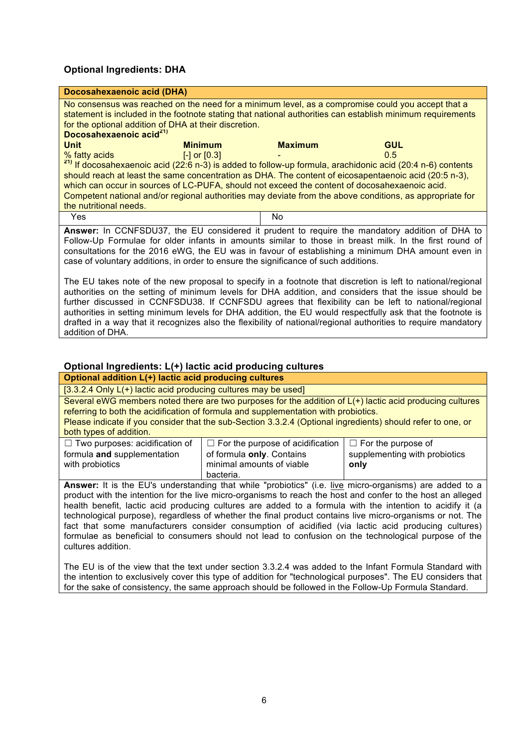# **Optional Ingredients: DHA**

| Docosahexaenoic acid (DHA)                                                                                                                                                                                                                                                                                                                                                                           |                  |                |                                                                                                                                                                                                                                                                                                                                                                                                                                                                                                                                                             |  |
|------------------------------------------------------------------------------------------------------------------------------------------------------------------------------------------------------------------------------------------------------------------------------------------------------------------------------------------------------------------------------------------------------|------------------|----------------|-------------------------------------------------------------------------------------------------------------------------------------------------------------------------------------------------------------------------------------------------------------------------------------------------------------------------------------------------------------------------------------------------------------------------------------------------------------------------------------------------------------------------------------------------------------|--|
| No consensus was reached on the need for a minimum level, as a compromise could you accept that a<br>for the optional addition of DHA at their discretion.<br>Docosahexaenoic acid <sup>21)</sup>                                                                                                                                                                                                    |                  |                | statement is included in the footnote stating that national authorities can establish minimum requirements                                                                                                                                                                                                                                                                                                                                                                                                                                                  |  |
| <b>Unit</b>                                                                                                                                                                                                                                                                                                                                                                                          | <b>Minimum</b>   | <b>Maximum</b> | <b>GUL</b>                                                                                                                                                                                                                                                                                                                                                                                                                                                                                                                                                  |  |
| % fatty acids<br>should reach at least the same concentration as DHA. The content of eicosapentaenoic acid (20:5 n-3),<br>which can occur in sources of LC-PUFA, should not exceed the content of docosahexaenoic acid.<br>the nutritional needs.                                                                                                                                                    | $[-]$ or $[0.3]$ |                | 0.5<br><sup>21)</sup> If docosahexaenoic acid (22:6 n-3) is added to follow-up formula, arachidonic acid (20:4 n-6) contents<br>Competent national and/or regional authorities may deviate from the above conditions, as appropriate for                                                                                                                                                                                                                                                                                                                    |  |
| <b>Yes</b>                                                                                                                                                                                                                                                                                                                                                                                           |                  | No             |                                                                                                                                                                                                                                                                                                                                                                                                                                                                                                                                                             |  |
| Answer: In CCNFSDU37, the EU considered it prudent to require the mandatory addition of DHA to<br>Follow-Up Formulae for older infants in amounts similar to those in breast milk. In the first round of<br>consultations for the 2016 eWG, the EU was in favour of establishing a minimum DHA amount even in<br>case of voluntary additions, in order to ensure the significance of such additions. |                  |                |                                                                                                                                                                                                                                                                                                                                                                                                                                                                                                                                                             |  |
|                                                                                                                                                                                                                                                                                                                                                                                                      |                  |                | The EU takes note of the new proposal to specify in a footnote that discretion is left to national/regional<br>authorities on the setting of minimum levels for DHA addition, and considers that the issue should be<br>further discussed in CCNFSDU38. If CCNFSDU agrees that flexibility can be left to national/regional<br>authorities in setting minimum levels for DHA addition, the EU would respectfully ask that the footnote is<br>drafted in a way that it recognizes also the flexibility of national/regional authorities to require mandatory |  |

addition of DHA.

#### **Optional Ingredients: L(+) lactic acid producing cultures**

## **Optional addition L(+) lactic acid producing cultures**

[3.3.2.4 Only L(+) lactic acid producing cultures may be used]

Several eWG members noted there are two purposes for the addition of L(+) lactic acid producing cultures referring to both the acidification of formula and supplementation with probiotics.

Please indicate if you consider that the sub-Section 3.3.2.4 (Optional ingredients) should refer to one, or both types of addition.

| $\Box$ Two purposes: acidification of | $\Box$ For the purpose of acidification $\Box$ For the purpose of |                               |
|---------------------------------------|-------------------------------------------------------------------|-------------------------------|
| formula and supplementation           | of formula only. Contains                                         | supplementing with probiotics |
| with probiotics                       | minimal amounts of viable                                         | only                          |
|                                       | bacteria.                                                         |                               |

**Answer:** It is the EU's understanding that while "probiotics" (i.e. live micro-organisms) are added to a product with the intention for the live micro-organisms to reach the host and confer to the host an alleged health benefit, lactic acid producing cultures are added to a formula with the intention to acidify it (a technological purpose), regardless of whether the final product contains live micro-organisms or not. The fact that some manufacturers consider consumption of acidified (via lactic acid producing cultures) formulae as beneficial to consumers should not lead to confusion on the technological purpose of the cultures addition.

The EU is of the view that the text under section 3.3.2.4 was added to the Infant Formula Standard with the intention to exclusively cover this type of addition for "technological purposes". The EU considers that for the sake of consistency, the same approach should be followed in the Follow-Up Formula Standard.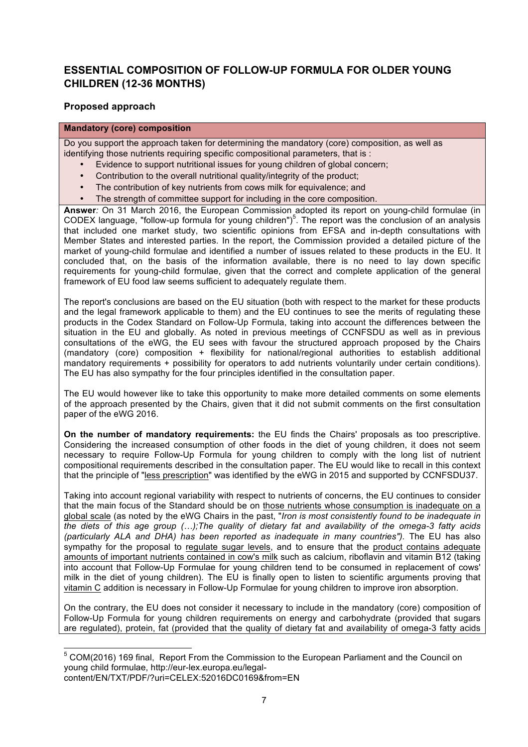# **ESSENTIAL COMPOSITION OF FOLLOW-UP FORMULA FOR OLDER YOUNG CHILDREN (12-36 MONTHS)**

# **Proposed approach**

#### **Mandatory (core) composition**

Do you support the approach taken for determining the mandatory (core) composition, as well as identifying those nutrients requiring specific compositional parameters, that is :

- Evidence to support nutritional issues for young children of global concern;
- Contribution to the overall nutritional quality/integrity of the product;
- The contribution of key nutrients from cows milk for equivalence; and
- The strength of committee support for including in the core composition.

**Answer***:* On 31 March 2016, the European Commission adopted its report on young-child formulae (in CODEX language, "follow-up formula for young children") $<sup>5</sup>$ . The report was the conclusion of an analysis</sup> that included one market study, two scientific opinions from EFSA and in-depth consultations with Member States and interested parties. In the report, the Commission provided a detailed picture of the market of young-child formulae and identified a number of issues related to these products in the EU. It concluded that, on the basis of the information available, there is no need to lay down specific requirements for young-child formulae, given that the correct and complete application of the general framework of EU food law seems sufficient to adequately regulate them.

The report's conclusions are based on the EU situation (both with respect to the market for these products and the legal framework applicable to them) and the EU continues to see the merits of regulating these products in the Codex Standard on Follow-Up Formula, taking into account the differences between the situation in the EU and globally. As noted in previous meetings of CCNFSDU as well as in previous consultations of the eWG, the EU sees with favour the structured approach proposed by the Chairs (mandatory (core) composition + flexibility for national/regional authorities to establish additional mandatory requirements + possibility for operators to add nutrients voluntarily under certain conditions). The EU has also sympathy for the four principles identified in the consultation paper.

The EU would however like to take this opportunity to make more detailed comments on some elements of the approach presented by the Chairs, given that it did not submit comments on the first consultation paper of the eWG 2016.

**On the number of mandatory requirements:** the EU finds the Chairs' proposals as too prescriptive. Considering the increased consumption of other foods in the diet of young children, it does not seem necessary to require Follow-Up Formula for young children to comply with the long list of nutrient compositional requirements described in the consultation paper. The EU would like to recall in this context that the principle of "less prescription" was identified by the eWG in 2015 and supported by CCNFSDU37.

Taking into account regional variability with respect to nutrients of concerns, the EU continues to consider that the main focus of the Standard should be on those nutrients whose consumption is inadequate on a global scale (as noted by the eWG Chairs in the past, "*Iron is most consistently found to be inadequate in the diets of this age group (…);The quality of dietary fat and availability of the omega-3 fatty acids (particularly ALA and DHA) has been reported as inadequate in many countries").* The EU has also sympathy for the proposal to regulate sugar levels, and to ensure that the product contains adequate amounts of important nutrients contained in cow's milk such as calcium, riboflavin and vitamin B12 (taking into account that Follow-Up Formulae for young children tend to be consumed in replacement of cows' milk in the diet of young children). The EU is finally open to listen to scientific arguments proving that vitamin C addition is necessary in Follow-Up Formulae for young children to improve iron absorption.

On the contrary, the EU does not consider it necessary to include in the mandatory (core) composition of Follow-Up Formula for young children requirements on energy and carbohydrate (provided that sugars are regulated), protein, fat (provided that the quality of dietary fat and availability of omega-3 fatty acids

 <sup>5</sup> COM(2016) 169 final, Report From the Commission to the European Parliament and the Council on young child formulae, http://eur-lex.europa.eu/legalcontent/EN/TXT/PDF/?uri=CELEX:52016DC0169&from=EN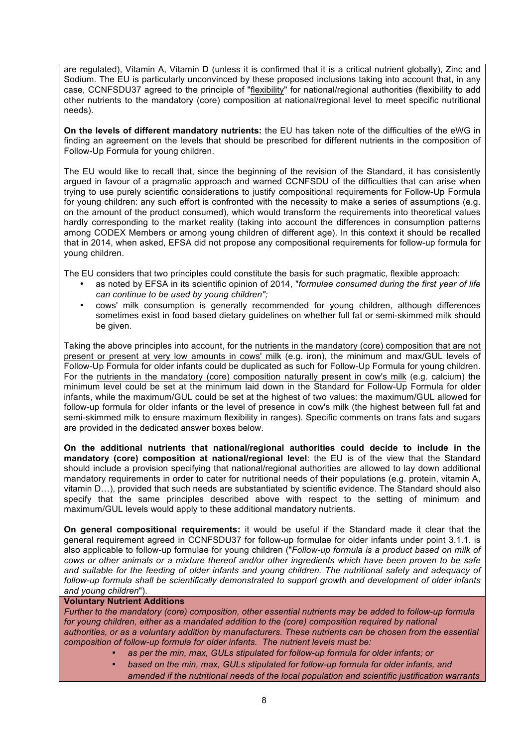are regulated), Vitamin A, Vitamin D (unless it is confirmed that it is a critical nutrient globally), Zinc and Sodium. The EU is particularly unconvinced by these proposed inclusions taking into account that, in any case, CCNFSDU37 agreed to the principle of "flexibility" for national/regional authorities (flexibility to add other nutrients to the mandatory (core) composition at national/regional level to meet specific nutritional needs).

**On the levels of different mandatory nutrients:** the EU has taken note of the difficulties of the eWG in finding an agreement on the levels that should be prescribed for different nutrients in the composition of Follow-Up Formula for young children.

The EU would like to recall that, since the beginning of the revision of the Standard, it has consistently argued in favour of a pragmatic approach and warned CCNFSDU of the difficulties that can arise when trying to use purely scientific considerations to justify compositional requirements for Follow-Up Formula for young children: any such effort is confronted with the necessity to make a series of assumptions (e.g. on the amount of the product consumed), which would transform the requirements into theoretical values hardly corresponding to the market reality (taking into account the differences in consumption patterns among CODEX Members or among young children of different age). In this context it should be recalled that in 2014, when asked, EFSA did not propose any compositional requirements for follow-up formula for young children.

The EU considers that two principles could constitute the basis for such pragmatic, flexible approach:

- as noted by EFSA in its scientific opinion of 2014, "*formulae consumed during the first year of life can continue to be used by young children";*
- cows' milk consumption is generally recommended for young children, although differences sometimes exist in food based dietary guidelines on whether full fat or semi-skimmed milk should be given.

Taking the above principles into account, for the nutrients in the mandatory (core) composition that are not present or present at very low amounts in cows' milk (e.g. iron), the minimum and max/GUL levels of Follow-Up Formula for older infants could be duplicated as such for Follow-Up Formula for young children. For the nutrients in the mandatory (core) composition naturally present in cow's milk (e.g. calcium) the minimum level could be set at the minimum laid down in the Standard for Follow-Up Formula for older infants, while the maximum/GUL could be set at the highest of two values: the maximum/GUL allowed for follow-up formula for older infants or the level of presence in cow's milk (the highest between full fat and semi-skimmed milk to ensure maximum flexibility in ranges). Specific comments on trans fats and sugars are provided in the dedicated answer boxes below.

**On the additional nutrients that national/regional authorities could decide to include in the mandatory (core) composition at national/regional level**: the EU is of the view that the Standard should include a provision specifying that national/regional authorities are allowed to lay down additional mandatory requirements in order to cater for nutritional needs of their populations (e.g. protein, vitamin A, vitamin D…), provided that such needs are substantiated by scientific evidence. The Standard should also specify that the same principles described above with respect to the setting of minimum and maximum/GUL levels would apply to these additional mandatory nutrients.

**On general compositional requirements:** it would be useful if the Standard made it clear that the general requirement agreed in CCNFSDU37 for follow-up formulae for older infants under point 3.1.1. is also applicable to follow-up formulae for young children ("*Follow-up formula is a product based on milk of cows or other animals or a mixture thereof and/or other ingredients which have been proven to be safe and suitable for the feeding of older infants and young children. The nutritional safety and adequacy of follow-up formula shall be scientifically demonstrated to support growth and development of older infants and young children*").

#### **Voluntary Nutrient Additions**

*Further to the mandatory (core) composition, other essential nutrients may be added to follow-up formula for young children, either as a mandated addition to the (core) composition required by national authorities, or as a voluntary addition by manufacturers. These nutrients can be chosen from the essential composition of follow-up formula for older infants. The nutrient levels must be:*

- *as per the min, max, GULs stipulated for follow-up formula for older infants; or*
- *based on the min, max, GULs stipulated for follow-up formula for older infants, and amended if the nutritional needs of the local population and scientific justification warrants*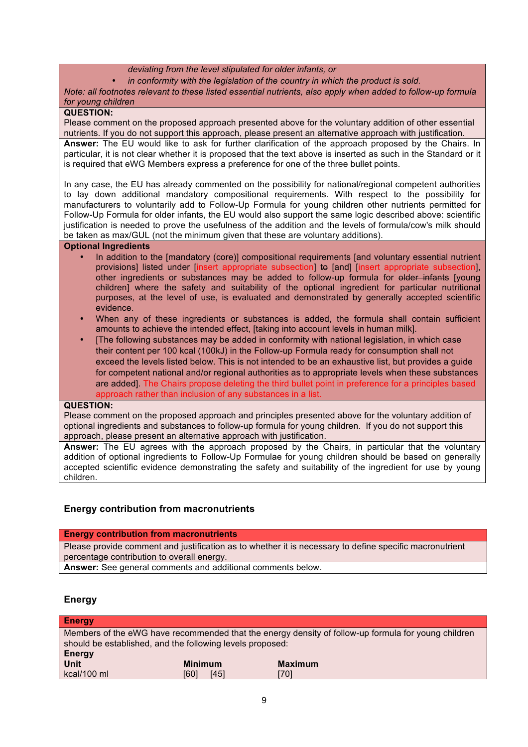*deviating from the level stipulated for older infants, or*

• *in conformity with the legislation of the country in which the product is sold.*

*Note: all footnotes relevant to these listed essential nutrients, also apply when added to follow-up formula for young children*

#### **QUESTION:**

Please comment on the proposed approach presented above for the voluntary addition of other essential nutrients. If you do not support this approach, please present an alternative approach with justification.

**Answer:** The EU would like to ask for further clarification of the approach proposed by the Chairs. In particular, it is not clear whether it is proposed that the text above is inserted as such in the Standard or it is required that eWG Members express a preference for one of the three bullet points.

In any case, the EU has already commented on the possibility for national/regional competent authorities to lay down additional mandatory compositional requirements. With respect to the possibility for manufacturers to voluntarily add to Follow-Up Formula for young children other nutrients permitted for Follow-Up Formula for older infants, the EU would also support the same logic described above: scientific justification is needed to prove the usefulness of the addition and the levels of formula/cow's milk should be taken as max/GUL (not the minimum given that these are voluntary additions).

#### **Optional Ingredients**

- In addition to the [mandatory (core)] compositional requirements [and voluntary essential nutrient provisions] listed under [insert appropriate subsection] to [and] [insert appropriate subsection]. other ingredients or substances may be added to follow-up formula for older infants [young children] where the safety and suitability of the optional ingredient for particular nutritional purposes, at the level of use, is evaluated and demonstrated by generally accepted scientific evidence.
- When any of these ingredients or substances is added, the formula shall contain sufficient amounts to achieve the intended effect, [taking into account levels in human milk].
- [The following substances may be added in conformity with national legislation, in which case their content per 100 kcal (100kJ) in the Follow-up Formula ready for consumption shall not exceed the levels listed below. This is not intended to be an exhaustive list, but provides a guide for competent national and/or regional authorities as to appropriate levels when these substances are added]. The Chairs propose deleting the third bullet point in preference for a principles based approach rather than inclusion of any substances in a list.

#### **QUESTION:**

Please comment on the proposed approach and principles presented above for the voluntary addition of optional ingredients and substances to follow-up formula for young children. If you do not support this approach, please present an alternative approach with justification.

**Answer:** The EU agrees with the approach proposed by the Chairs, in particular that the voluntary addition of optional ingredients to Follow-Up Formulae for young children should be based on generally accepted scientific evidence demonstrating the safety and suitability of the ingredient for use by young children.

# **Energy contribution from macronutrients**

#### **Energy contribution from macronutrients**

Please provide comment and justification as to whether it is necessary to define specific macronutrient percentage contribution to overall energy.

**Answer:** See general comments and additional comments below.

#### **Energy**

| <b>Energy</b>                                             |                |                                                                                                     |
|-----------------------------------------------------------|----------------|-----------------------------------------------------------------------------------------------------|
|                                                           |                | Members of the eWG have recommended that the energy density of follow-up formula for young children |
| should be established, and the following levels proposed: |                |                                                                                                     |
| <b>Energy</b>                                             |                |                                                                                                     |
| <b>Unit</b>                                               | <b>Minimum</b> | <b>Maximum</b>                                                                                      |
| kcal/100 ml                                               | [60]<br>[45]   | [70]                                                                                                |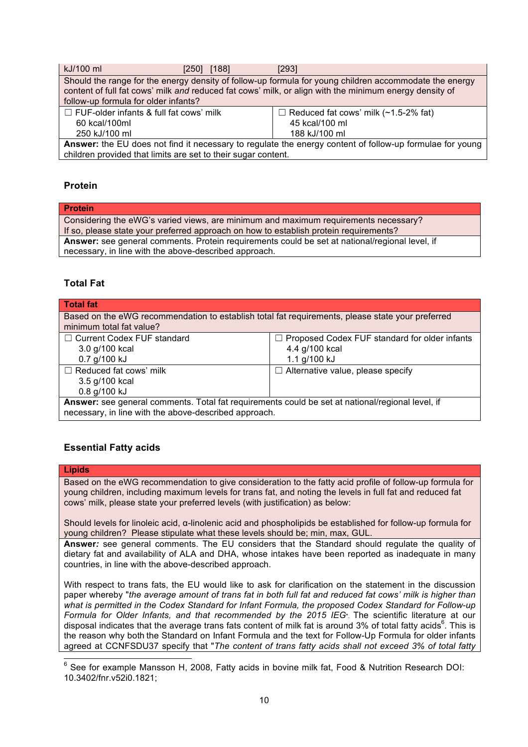| kJ/100 ml                                                                                                | [250] [188] | [293]          |                                                                                                        |  |
|----------------------------------------------------------------------------------------------------------|-------------|----------------|--------------------------------------------------------------------------------------------------------|--|
| Should the range for the energy density of follow-up formula for young children accommodate the energy   |             |                |                                                                                                        |  |
|                                                                                                          |             |                | content of full fat cows' milk and reduced fat cows' milk, or align with the minimum energy density of |  |
| follow-up formula for older infants?                                                                     |             |                |                                                                                                        |  |
| $\Box$ FUF-older infants & full fat cows' milk                                                           |             |                | $\Box$ Reduced fat cows' milk (~1.5-2% fat)                                                            |  |
| 60 kcal/100ml                                                                                            |             | 45 kcal/100 ml |                                                                                                        |  |
| 250 kJ/100 ml                                                                                            |             | 188 kJ/100 ml  |                                                                                                        |  |
| Answer: the EU does not find it necessary to regulate the energy content of follow-up formulae for young |             |                |                                                                                                        |  |
| children provided that limits are set to their sugar content.                                            |             |                |                                                                                                        |  |

## **Protein**

| <b>Protein</b>                                                                                 |
|------------------------------------------------------------------------------------------------|
| Considering the eWG's varied views, are minimum and maximum requirements necessary?            |
| If so, please state your preferred approach on how to establish protein requirements?          |
| Answer: see general comments. Protein requirements could be set at national/regional level, if |
| necessary, in line with the above-described approach.                                          |

# **Total Fat**

| <b>Total fat</b>                                                                                                             |                                                      |  |
|------------------------------------------------------------------------------------------------------------------------------|------------------------------------------------------|--|
| Based on the eWG recommendation to establish total fat requirements, please state your preferred<br>minimum total fat value? |                                                      |  |
| $\Box$ Current Codex FUF standard                                                                                            | $\Box$ Proposed Codex FUF standard for older infants |  |
|                                                                                                                              |                                                      |  |
| 3.0 g/100 kcal                                                                                                               | 4.4 g/100 kcal                                       |  |
| 0.7 g/100 kJ                                                                                                                 | 1.1 g/100 kJ                                         |  |
| $\Box$ Reduced fat cows' milk                                                                                                | $\Box$ Alternative value, please specify             |  |
| 3.5 g/100 kcal                                                                                                               |                                                      |  |
| 0.8 g/100 kJ                                                                                                                 |                                                      |  |
| Answer: see general comments. Total fat requirements could be set at national/regional level, if                             |                                                      |  |
| necessary, in line with the above-described approach.                                                                        |                                                      |  |

# **Essential Fatty acids**

#### **Lipids**

Based on the eWG recommendation to give consideration to the fatty acid profile of follow-up formula for young children, including maximum levels for trans fat, and noting the levels in full fat and reduced fat cows' milk, please state your preferred levels (with justification) as below:

Should levels for linoleic acid, α-linolenic acid and phospholipids be established for follow-up formula for young children? Please stipulate what these levels should be; min, max, GUL.

**Answer***:* see general comments. The EU considers that the Standard should regulate the quality of dietary fat and availability of ALA and DHA, whose intakes have been reported as inadequate in many countries, in line with the above-described approach.

With respect to trans fats, the EU would like to ask for clarification on the statement in the discussion paper whereby "*the average amount of trans fat in both full fat and reduced fat cows' milk is higher than what is permitted in the Codex Standard for Infant Formula, the proposed Codex Standard for Follow-up Formula for Older Infants, and that recommended by the 2015 IEG*". The scientific literature at our disposal indicates that the average trans fats content of milk fat is around 3% of total fatty acids<sup>6</sup>. This is the reason why both the Standard on Infant Formula and the text for Follow-Up Formula for older infants agreed at CCNFSDU37 specify that "*The content of trans fatty acids shall not exceed 3% of total fatty* 

<sup>&</sup>lt;sup>6</sup> See for example Mansson H, 2008, Fatty acids in bovine milk fat, Food & Nutrition Research DOI: 10.3402/fnr.v52i0.1821;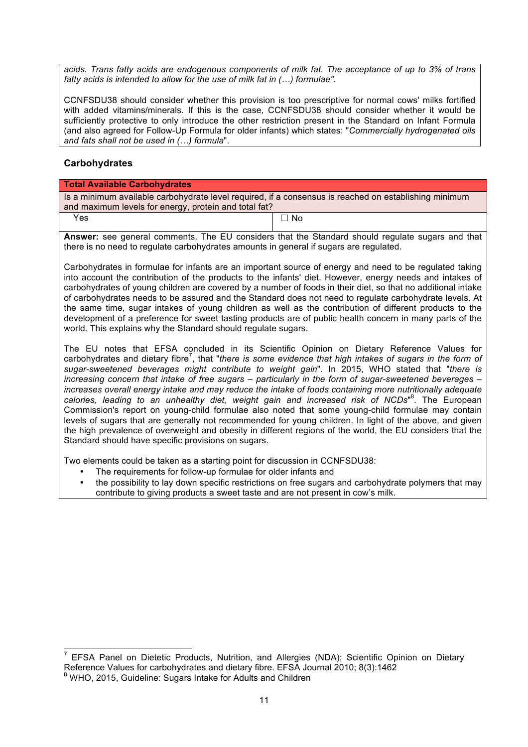*acids. Trans fatty acids are endogenous components of milk fat. The acceptance of up to 3% of trans fatty acids is intended to allow for the use of milk fat in (…) formulae".*

CCNFSDU38 should consider whether this provision is too prescriptive for normal cows' milks fortified with added vitamins/minerals. If this is the case, CCNFSDU38 should consider whether it would be sufficiently protective to only introduce the other restriction present in the Standard on Infant Formula (and also agreed for Follow-Up Formula for older infants) which states: "*Commercially hydrogenated oils and fats shall not be used in (…) formula*".

## **Carbohydrates**

#### **Total Available Carbohydrates**

Is a minimum available carbohydrate level required, if a consensus is reached on establishing minimum and maximum levels for energy, protein and total fat?

 $Yes$   $\Box$  No

**Answer:** see general comments. The EU considers that the Standard should regulate sugars and that there is no need to regulate carbohydrates amounts in general if sugars are regulated.

Carbohydrates in formulae for infants are an important source of energy and need to be regulated taking into account the contribution of the products to the infants' diet. However, energy needs and intakes of carbohydrates of young children are covered by a number of foods in their diet, so that no additional intake of carbohydrates needs to be assured and the Standard does not need to regulate carbohydrate levels. At the same time, sugar intakes of young children as well as the contribution of different products to the development of a preference for sweet tasting products are of public health concern in many parts of the world. This explains why the Standard should regulate sugars.

The EU notes that EFSA concluded in its Scientific Opinion on Dietary Reference Values for carbohydrates and dietary fibre<sup>7</sup>, that "there is some evidence that high intakes of sugars in the form of *sugar-sweetened beverages might contribute to weight gain*". In 2015, WHO stated that "*there is increasing concern that intake of free sugars – particularly in the form of sugar-sweetened beverages – increases overall energy intake and may reduce the intake of foods containing more nutritionally adequate*  calories, leading to an unhealthy diet, weight gain and increased risk of NCDs<sup>"8</sup>. The European Commission's report on young-child formulae also noted that some young-child formulae may contain levels of sugars that are generally not recommended for young children. In light of the above, and given the high prevalence of overweight and obesity in different regions of the world, the EU considers that the Standard should have specific provisions on sugars.

Two elements could be taken as a starting point for discussion in CCNFSDU38:

- The requirements for follow-up formulae for older infants and
- the possibility to lay down specific restrictions on free sugars and carbohydrate polymers that may contribute to giving products a sweet taste and are not present in cow's milk.

 <sup>7</sup> EFSA Panel on Dietetic Products, Nutrition, and Allergies (NDA); Scientific Opinion on Dietary Reference Values for carbohydrates and dietary fibre. EFSA Journal 2010; 8(3):1462

<sup>8</sup> WHO, 2015, Guideline: Sugars Intake for Adults and Children